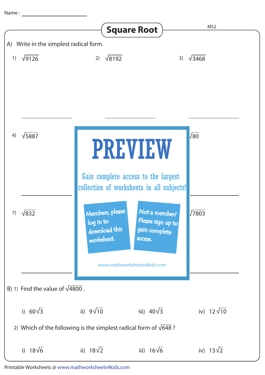Name :

|                                                                          |                  |                                          | <b>Square Root</b>                                                                                | MS <sub>2</sub>   |
|--------------------------------------------------------------------------|------------------|------------------------------------------|---------------------------------------------------------------------------------------------------|-------------------|
| A) Write in the simplest radical form.                                   |                  |                                          |                                                                                                   |                   |
|                                                                          | 1) $\sqrt{9126}$ | $\sqrt{8192}$<br>2)                      | 3)                                                                                                | $\sqrt{3468}$     |
| 4)                                                                       | $\sqrt{5887}$    |                                          | <b>PREVIEW</b>                                                                                    | $\sqrt{80}$       |
| 7)                                                                       | $\sqrt{832}$     | Members, please                          | Gain complete access to the largest<br>collection of worksheets in all subjects!<br>Not a member? | $\sqrt{7803}$     |
|                                                                          |                  | log in to<br>download this<br>worksheet. | Please sign up to<br>gain complete<br>access.<br>www.mathworksheets4kids.com                      |                   |
| B) 1) Find the value of $\sqrt{4800}$ .                                  |                  |                                          |                                                                                                   |                   |
|                                                                          | i) $60\sqrt{3}$  | ii) $9\sqrt{10}$                         | iii) $40\sqrt{3}$                                                                                 | iv) $12\sqrt{10}$ |
| 2) Which of the following is the simplest radical form of $\sqrt{648}$ ? |                  |                                          |                                                                                                   |                   |
|                                                                          | i) $18\sqrt{6}$  | ii) $18\sqrt{2}$                         | iii) $16\sqrt{6}$                                                                                 | iv) $13\sqrt{2}$  |